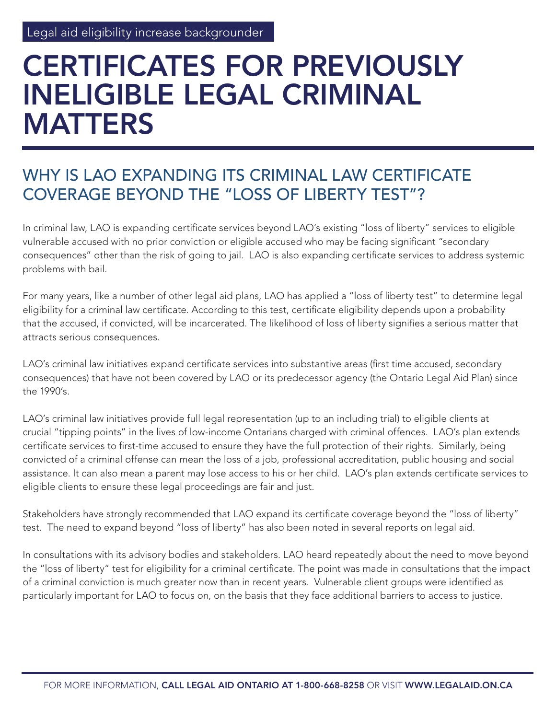# CERTIFICATES FOR PREVIOUSLY INELIGIBLE LEGAL CRIMINAL MATTERS

#### WHY IS LAO EXPANDING ITS CRIMINAL LAW CERTIFICATE COVERAGE BEYOND THE "LOSS OF LIBERTY TEST"?

In criminal law, LAO is expanding certificate services beyond LAO's existing "loss of liberty" services to eligible vulnerable accused with no prior conviction or eligible accused who may be facing significant "secondary consequences" other than the risk of going to jail. LAO is also expanding certificate services to address systemic problems with bail.

For many years, like a number of other legal aid plans, LAO has applied a "loss of liberty test" to determine legal eligibility for a criminal law certificate. According to this test, certificate eligibility depends upon a probability that the accused, if convicted, will be incarcerated. The likelihood of loss of liberty signifies a serious matter that attracts serious consequences.

LAO's criminal law initiatives expand certificate services into substantive areas (first time accused, secondary consequences) that have not been covered by LAO or its predecessor agency (the Ontario Legal Aid Plan) since the 1990's.

LAO's criminal law initiatives provide full legal representation (up to an including trial) to eligible clients at crucial "tipping points" in the lives of low-income Ontarians charged with criminal offences. LAO's plan extends certificate services to first-time accused to ensure they have the full protection of their rights. Similarly, being convicted of a criminal offense can mean the loss of a job, professional accreditation, public housing and social assistance. It can also mean a parent may lose access to his or her child. LAO's plan extends certificate services to eligible clients to ensure these legal proceedings are fair and just.

Stakeholders have strongly recommended that LAO expand its certificate coverage beyond the "loss of liberty" test. The need to expand beyond "loss of liberty" has also been noted in several reports on legal aid.

In consultations with its advisory bodies and stakeholders. LAO heard repeatedly about the need to move beyond the "loss of liberty" test for eligibility for a criminal certificate. The point was made in consultations that the impact of a criminal conviction is much greater now than in recent years. Vulnerable client groups were identified as particularly important for LAO to focus on, on the basis that they face additional barriers to access to justice.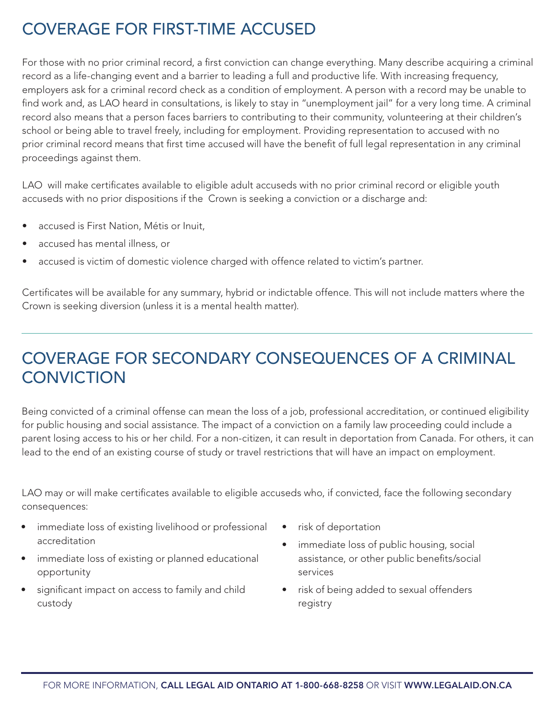## COVERAGE FOR FIRST-TIME ACCUSED

For those with no prior criminal record, a first conviction can change everything. Many describe acquiring a criminal record as a life-changing event and a barrier to leading a full and productive life. With increasing frequency, employers ask for a criminal record check as a condition of employment. A person with a record may be unable to find work and, as LAO heard in consultations, is likely to stay in "unemployment jail" for a very long time. A criminal record also means that a person faces barriers to contributing to their community, volunteering at their children's school or being able to travel freely, including for employment. Providing representation to accused with no prior criminal record means that first time accused will have the benefit of full legal representation in any criminal proceedings against them.

LAO will make certificates available to eligible adult accuseds with no prior criminal record or eligible youth accuseds with no prior dispositions if the Crown is seeking a conviction or a discharge and:

- accused is First Nation, Métis or Inuit,
- accused has mental illness, or
- accused is victim of domestic violence charged with offence related to victim's partner.

Certificates will be available for any summary, hybrid or indictable offence. This will not include matters where the Crown is seeking diversion (unless it is a mental health matter).

#### COVERAGE FOR SECONDARY CONSEQUENCES OF A CRIMINAL **CONVICTION**

Being convicted of a criminal offense can mean the loss of a job, professional accreditation, or continued eligibility for public housing and social assistance. The impact of a conviction on a family law proceeding could include a parent losing access to his or her child. For a non-citizen, it can result in deportation from Canada. For others, it can lead to the end of an existing course of study or travel restrictions that will have an impact on employment.

LAO may or will make certificates available to eligible accuseds who, if convicted, face the following secondary consequences:

- immediate loss of existing livelihood or professional accreditation
- immediate loss of existing or planned educational opportunity
- significant impact on access to family and child custody
- risk of deportation
- immediate loss of public housing, social assistance, or other public benefits/social services
- risk of being added to sexual offenders registry